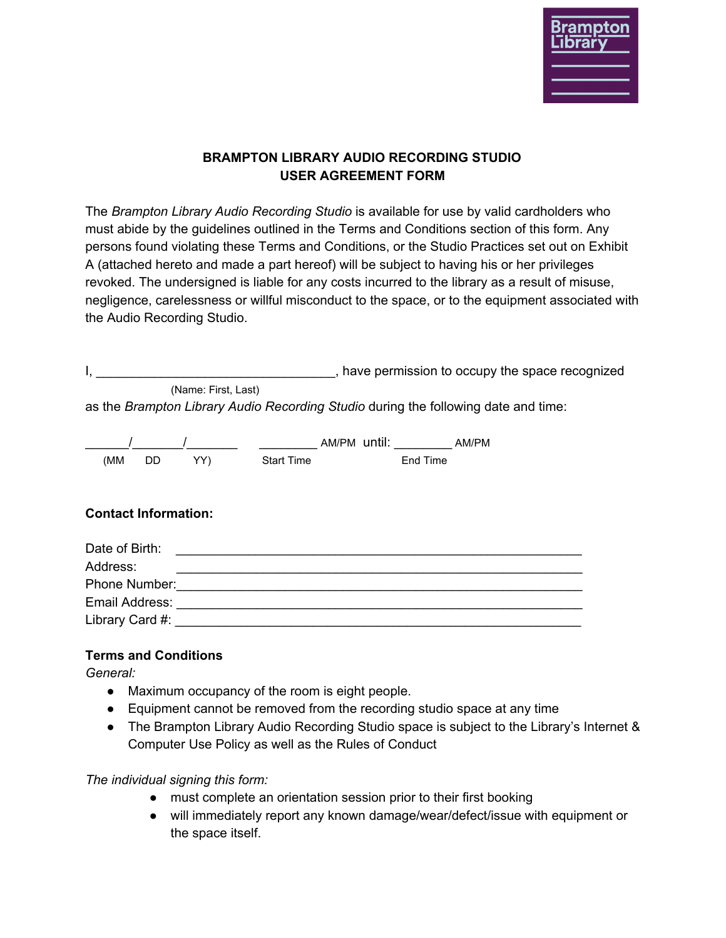

### **BRAMPTON LIBRARY AUDIO RECORDING STUDIO USER AGREEMENT FORM**

 The *Brampton Library Audio Recording Studio* is available for use by valid cardholders who must abide by the guidelines outlined in the Terms and Conditions section of this form. Any persons found violating these Terms and Conditions, or the Studio Practices set out on Exhibit A (attached hereto and made a part hereof) will be subject to having his or her privileges revoked. The undersigned is liable for any costs incurred to the library as a result of misuse, negligence, carelessness or willful misconduct to the space, or to the equipment associated with the Audio Recording Studio.

|  |                     | , have permission to occupy the space recognized |
|--|---------------------|--------------------------------------------------|
|  | (Name: First, Last) |                                                  |

as the *Brampton Library Audio Recording Studio* during the following date and time:

|     |     |     |                   | AM/PM until: | AM/PM |
|-----|-----|-----|-------------------|--------------|-------|
| (MM | DD. | YY) | <b>Start Time</b> | End Time     |       |

### **Contact Information:**

| Date of Birth:  |  |
|-----------------|--|
| Address:        |  |
| Phone Number:   |  |
| Email Address:  |  |
| Library Card #: |  |
|                 |  |

# **Terms and Conditions**

*General:*

- Maximum occupancy of the room is eight people.
- Equipment cannot be removed from the recording studio space at any time
- The Brampton Library Audio Recording Studio space is subject to the Library's Internet & Computer Use Policy as well as the Rules of Conduct

*The individual signing this form:*

- must complete an orientation session prior to their first booking
- ● will immediately report any known damage/wear/defect/issue with equipment or the space itself.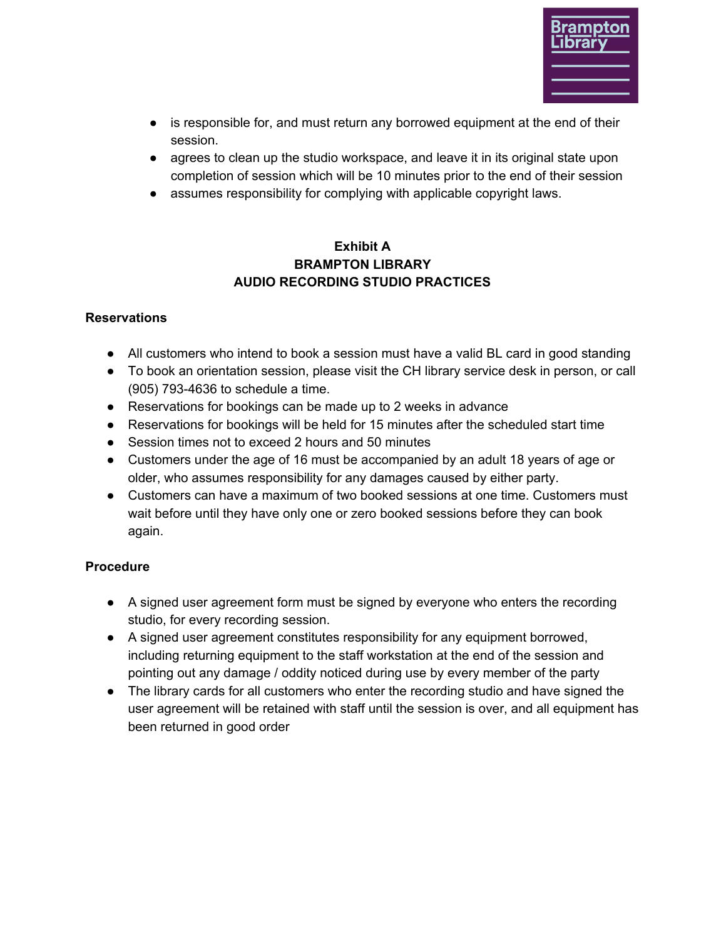

- ● is responsible for, and must return any borrowed equipment at the end of their session.
- agrees to clean up the studio workspace, and leave it in its original state upon completion of session which will be 10 minutes prior to the end of their session
- assumes responsibility for complying with applicable copyright laws.

## **AUDIO RECORDING STUDIO PRACTICES Exhibit A BRAMPTON LIBRARY**

### **Reservations**

- All customers who intend to book a session must have a valid BL card in good standing
- ● To book an orientation session, please visit the CH library service desk in person, or call (905) 793-4636 to schedule a time.
- Reservations for bookings can be made up to 2 weeks in advance
- Reservations for bookings will be held for 15 minutes after the scheduled start time
- Session times not to exceed 2 hours and 50 minutes
- ● Customers under the age of 16 must be accompanied by an adult 18 years of age or older, who assumes responsibility for any damages caused by either party.
- Customers can have a maximum of two booked sessions at one time. Customers must wait before until they have only one or zero booked sessions before they can book again.

## **Procedure**

- A signed user agreement form must be signed by everyone who enters the recording studio, for every recording session.
- A signed user agreement constitutes responsibility for any equipment borrowed, including returning equipment to the staff workstation at the end of the session and pointing out any damage / oddity noticed during use by every member of the party
- The library cards for all customers who enter the recording studio and have signed the user agreement will be retained with staff until the session is over, and all equipment has been returned in good order